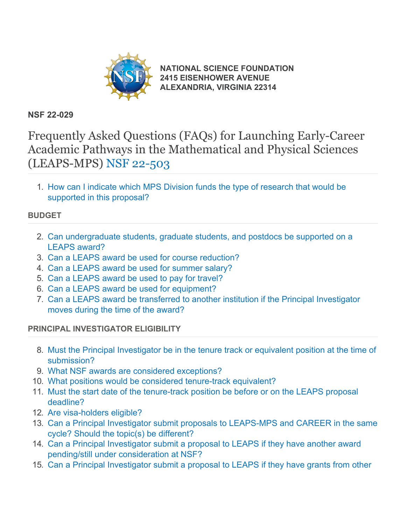

**[NATIONAL SCIENCE FOUNDATION](https://www.nsf.gov/) [2415 EISENHOWER AVENUE](https://www.nsf.gov/) [ALEXANDRIA, VIRGINIA 22314](https://www.nsf.gov/)**

# **NSF 22-029**

Frequently Asked Questions (FAQs) for Launching Early-Career Academic Pathways in the Mathematical and Physical Sciences (LEAPS-MPS) [NSF 22-503](https://www.nsf.gov/publications/pub_summ.jsp?ods_key=nsf22503)

1. [How can I indicate which MPS Division funds the type of research that would be](#page-1-0) [supported in this proposal?](#page-1-0)

# **BUDGET**

- 2. [Can undergraduate students, graduate students, and postdocs be supported on a](#page-2-0) [LEAPS award?](#page-2-0)
- 3. [Can a LEAPS award be used for course reduction?](#page-2-1)
- 4. [Can a LEAPS award be used for summer salary?](#page-2-2)
- 5. [Can a LEAPS award be used to pay for travel?](#page-2-3)
- 6. [Can a LEAPS award be used for equipment?](#page-2-4)
- 7. [Can a LEAPS award be transferred to another institution if the Principal Investigator](#page-2-5) [moves during the time of the award?](#page-2-5)

# **PRINCIPAL INVESTIGATOR ELIGIBILITY**

- 8. [Must the Principal Investigator be in the tenure track or equivalent position at the time of](#page-2-6) [submission?](#page-2-6)
- 9. [What NSF awards are considered exceptions?](#page-3-0)
- 10. [What positions would be considered tenure-track equivalent?](#page-3-1)
- 11. [Must the start date of the tenure-track position be before or on the LEAPS proposal](#page-3-2) [deadline?](#page-3-2)
- 12. [Are visa-holders eligible?](#page-3-3)
- 13. [Can a Principal Investigator submit proposals to LEAPS-MPS and CAREER in the same](#page-3-4) [cycle? Should the topic\(s\) be different?](#page-3-4)
- 14. [Can a Principal Investigator submit a proposal to LEAPS if they have another award](#page-4-0) [pending/still under consideration at NSF?](#page-4-0)
- 15. [Can a Principal Investigator submit a proposal to LEAPS if they have grants from other](#page-4-1)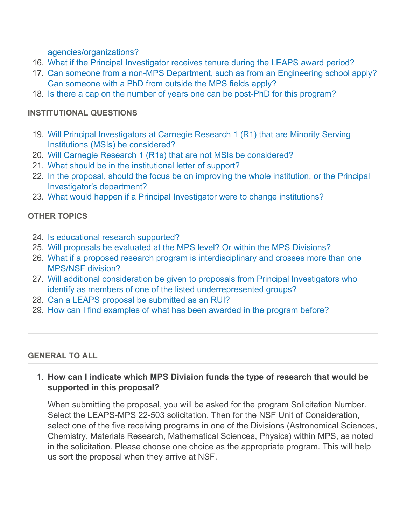[agencies/organizations?](#page-4-1)

- 16. [What if the Principal Investigator receives tenure during the LEAPS award period?](#page-4-2)
- 17. [Can someone from a non-MPS Department, such as from an Engineering school apply?](#page-4-3) [Can someone with a PhD from outside the MPS fields apply?](#page-4-3)
- 18. [Is there a cap on the number of years one can be post-PhD for this program?](#page-4-4)

### **INSTITUTIONAL QUESTIONS**

- 19. [Will Principal Investigators at Carnegie Research 1 \(R1\) that are Minority Serving](#page-4-5) [Institutions \(MSIs\) be considered?](#page-4-5)
- 20. [Will Carnegie Research 1 \(R1s\) that are not MSIs be considered?](#page-4-6)
- 21. [What should be in the institutional letter of support?](#page-5-0)
- 22. [In the proposal, should the focus be on improving the whole institution, or the Principal](#page-5-1) [Investigator's department?](#page-5-1)
- 23. [What would happen if a Principal Investigator were to change institutions?](#page-5-2)

# **OTHER TOPICS**

- 24. [Is educational research supported?](#page-5-3)
- 25. [Will proposals be evaluated at the MPS level? Or within the MPS Divisions?](#page-5-4)
- 26. [What if a proposed research program is interdisciplinary and crosses more than one](#page-5-5) [MPS/NSF division?](#page-5-5)
- 27. [Will additional consideration be given to proposals from Principal Investigators who](#page-5-6) [identify as members of one of the listed underrepresented groups?](#page-5-6)
- 28. [Can a LEAPS proposal be submitted as an RUI?](#page-6-0)
- 29. [How can I find examples of what has been awarded in the program before?](#page-6-1)

#### <span id="page-1-0"></span>**GENERAL TO ALL**

1. **How can I indicate which MPS Division funds the type of research that would be supported in this proposal?**

When submitting the proposal, you will be asked for the program Solicitation Number. Select the LEAPS-MPS 22-503 solicitation. Then for the NSF Unit of Consideration, select one of the five receiving programs in one of the Divisions (Astronomical Sciences, Chemistry, Materials Research, Mathematical Sciences, Physics) within MPS, as noted in the solicitation. Please choose one choice as the appropriate program. This will help us sort the proposal when they arrive at NSF.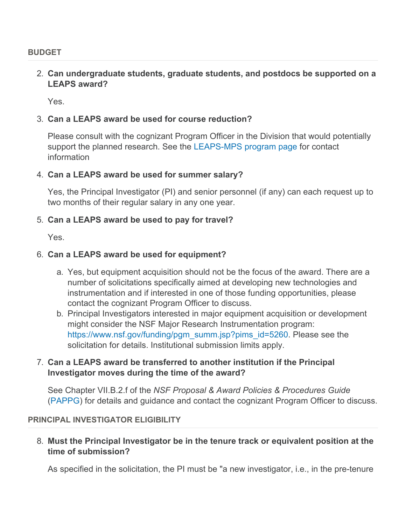#### <span id="page-2-0"></span>**BUDGET**

#### 2. **Can undergraduate students, graduate students, and postdocs be supported on a LEAPS award?**

Yes.

#### <span id="page-2-1"></span>3. **Can a LEAPS award be used for course reduction?**

Please consult with the cognizant Program Officer in the Division that would potentially support the planned research. See the [LEAPS-MPS program page](https://beta.nsf.gov/funding/opportunities/launching-early-career-academic-pathways-mathematical-and-physical-sciences) for contact information

#### <span id="page-2-2"></span>4. **Can a LEAPS award be used for summer salary?**

Yes, the Principal Investigator (PI) and senior personnel (if any) can each request up to two months of their regular salary in any one year.

#### <span id="page-2-3"></span>5. **Can a LEAPS award be used to pay for travel?**

Yes.

### <span id="page-2-4"></span>6. **Can a LEAPS award be used for equipment?**

- a. Yes, but equipment acquisition should not be the focus of the award. There are a number of solicitations specifically aimed at developing new technologies and instrumentation and if interested in one of those funding opportunities, please contact the cognizant Program Officer to discuss.
- b. Principal Investigators interested in major equipment acquisition or development might consider the NSF Major Research Instrumentation program: [https://www.nsf.gov/funding/pgm\\_summ.jsp?pims\\_id=5260](https://www.nsf.gov/funding/pgm_summ.jsp?pims_id=5260). Please see the solicitation for details. Institutional submission limits apply.

### <span id="page-2-5"></span>7. **Can a LEAPS award be transferred to another institution if the Principal Investigator moves during the time of the award?**

See Chapter VII.B.2.f of the *NSF Proposal & Award Policies & Procedures Guide* [\(PAPPG](https://www.nsf.gov/publications/pub_summ.jsp?ods_key=pappg)) for details and guidance and contact the cognizant Program Officer to discuss.

#### <span id="page-2-6"></span>**PRINCIPAL INVESTIGATOR ELIGIBILITY**

8. **Must the Principal Investigator be in the tenure track or equivalent position at the time of submission?**

As specified in the solicitation, the PI must be "a new investigator, i.e., in the pre-tenure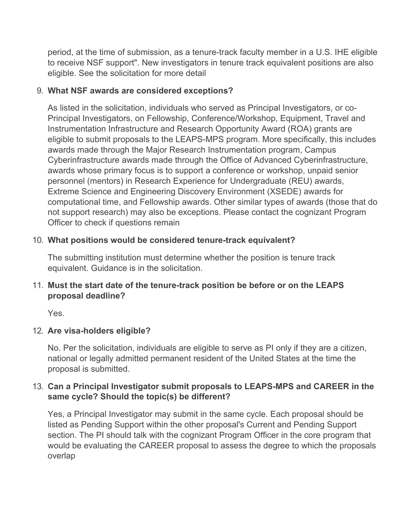period, at the time of submission, as a tenure-track faculty member in a U.S. IHE eligible to receive NSF support". New investigators in tenure track equivalent positions are also eligible. See the solicitation for more detail

## <span id="page-3-0"></span>9. **What NSF awards are considered exceptions?**

As listed in the solicitation, individuals who served as Principal Investigators, or co-Principal Investigators, on Fellowship, Conference/Workshop, Equipment, Travel and Instrumentation Infrastructure and Research Opportunity Award (ROA) grants are eligible to submit proposals to the LEAPS-MPS program. More specifically, this includes awards made through the Major Research Instrumentation program, Campus Cyberinfrastructure awards made through the Office of Advanced Cyberinfrastructure, awards whose primary focus is to support a conference or workshop, unpaid senior personnel (mentors) in Research Experience for Undergraduate (REU) awards, Extreme Science and Engineering Discovery Environment (XSEDE) awards for computational time, and Fellowship awards. Other similar types of awards (those that do not support research) may also be exceptions. Please contact the cognizant Program Officer to check if questions remain

# <span id="page-3-1"></span>10. **What positions would be considered tenure-track equivalent?**

The submitting institution must determine whether the position is tenure track equivalent. Guidance is in the solicitation.

# <span id="page-3-2"></span>11. **Must the start date of the tenure-track position be before or on the LEAPS proposal deadline?**

Yes.

# <span id="page-3-3"></span>12. **Are visa-holders eligible?**

No. Per the solicitation, individuals are eligible to serve as PI only if they are a citizen, national or legally admitted permanent resident of the United States at the time the proposal is submitted.

# <span id="page-3-4"></span>13. **Can a Principal Investigator submit proposals to LEAPS-MPS and CAREER in the same cycle? Should the topic(s) be different?**

Yes, a Principal Investigator may submit in the same cycle. Each proposal should be listed as Pending Support within the other proposal's Current and Pending Support section. The PI should talk with the cognizant Program Officer in the core program that would be evaluating the CAREER proposal to assess the degree to which the proposals overlap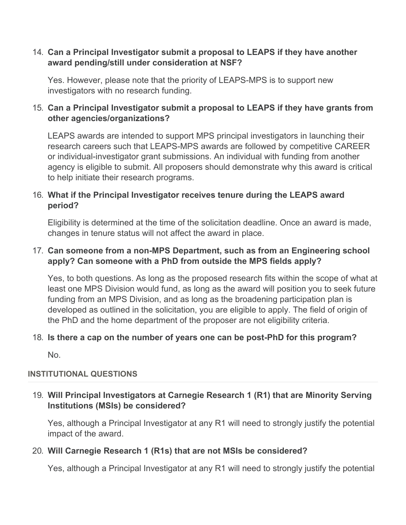#### <span id="page-4-0"></span>14. **Can a Principal Investigator submit a proposal to LEAPS if they have another award pending/still under consideration at NSF?**

Yes. However, please note that the priority of LEAPS-MPS is to support new investigators with no research funding.

## <span id="page-4-1"></span>15. **Can a Principal Investigator submit a proposal to LEAPS if they have grants from other agencies/organizations?**

LEAPS awards are intended to support MPS principal investigators in launching their research careers such that LEAPS-MPS awards are followed by competitive CAREER or individual-investigator grant submissions. An individual with funding from another agency is eligible to submit. All proposers should demonstrate why this award is critical to help initiate their research programs.

## <span id="page-4-2"></span>16. **What if the Principal Investigator receives tenure during the LEAPS award period?**

Eligibility is determined at the time of the solicitation deadline. Once an award is made, changes in tenure status will not affect the award in place.

## <span id="page-4-3"></span>17. **Can someone from a non-MPS Department, such as from an Engineering school apply? Can someone with a PhD from outside the MPS fields apply?**

Yes, to both questions. As long as the proposed research fits within the scope of what at least one MPS Division would fund, as long as the award will position you to seek future funding from an MPS Division, and as long as the broadening participation plan is developed as outlined in the solicitation, you are eligible to apply. The field of origin of the PhD and the home department of the proposer are not eligibility criteria.

### <span id="page-4-4"></span>18. **Is there a cap on the number of years one can be post-PhD for this program?**

No.

### **INSTITUTIONAL QUESTIONS**

# <span id="page-4-5"></span>19. **Will Principal Investigators at Carnegie Research 1 (R1) that are Minority Serving Institutions (MSIs) be considered?**

Yes, although a Principal Investigator at any R1 will need to strongly justify the potential impact of the award.

### <span id="page-4-6"></span>20. **Will Carnegie Research 1 (R1s) that are not MSIs be considered?**

Yes, although a Principal Investigator at any R1 will need to strongly justify the potential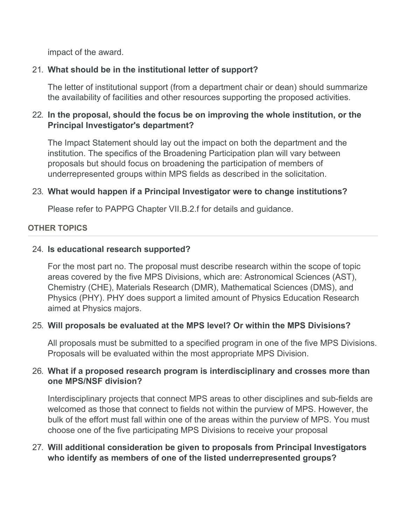impact of the award.

# <span id="page-5-0"></span>21. **What should be in the institutional letter of support?**

The letter of institutional support (from a department chair or dean) should summarize the availability of facilities and other resources supporting the proposed activities.

# <span id="page-5-1"></span>22. **In the proposal, should the focus be on improving the whole institution, or the Principal Investigator's department?**

The Impact Statement should lay out the impact on both the department and the institution. The specifics of the Broadening Participation plan will vary between proposals but should focus on broadening the participation of members of underrepresented groups within MPS fields as described in the solicitation.

# <span id="page-5-2"></span>23. **What would happen if a Principal Investigator were to change institutions?**

Please refer to PAPPG Chapter VII.B.2.f for details and guidance.

# **OTHER TOPICS**

### <span id="page-5-3"></span>24. **Is educational research supported?**

For the most part no. The proposal must describe research within the scope of topic areas covered by the five MPS Divisions, which are: Astronomical Sciences (AST), Chemistry (CHE), Materials Research (DMR), Mathematical Sciences (DMS), and Physics (PHY). PHY does support a limited amount of Physics Education Research aimed at Physics majors.

# <span id="page-5-4"></span>25. **Will proposals be evaluated at the MPS level? Or within the MPS Divisions?**

All proposals must be submitted to a specified program in one of the five MPS Divisions. Proposals will be evaluated within the most appropriate MPS Division.

### <span id="page-5-5"></span>26. **What if a proposed research program is interdisciplinary and crosses more than one MPS/NSF division?**

Interdisciplinary projects that connect MPS areas to other disciplines and sub-fields are welcomed as those that connect to fields not within the purview of MPS. However, the bulk of the effort must fall within one of the areas within the purview of MPS. You must choose one of the five participating MPS Divisions to receive your proposal

### <span id="page-5-6"></span>27. **Will additional consideration be given to proposals from Principal Investigators who identify as members of one of the listed underrepresented groups?**